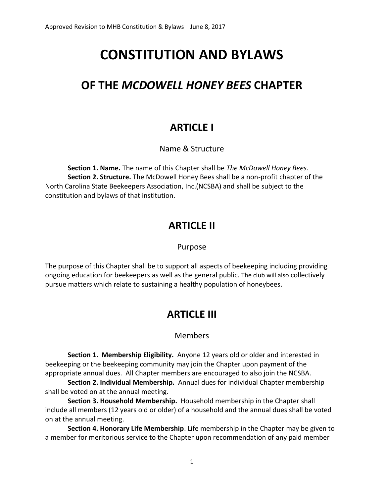# **CONSTITUTION AND BYLAWS**

## **OF THE** *MCDOWELL HONEY BEES* **CHAPTER**

### **ARTICLE I**

#### Name & Structure

**Section 1. Name.** The name of this Chapter shall be *The McDowell Honey Bees*. **Section 2. Structure.** The McDowell Honey Bees shall be a non-profit chapter of the North Carolina State Beekeepers Association, Inc.(NCSBA) and shall be subject to the constitution and bylaws of that institution.

### **ARTICLE II**

#### Purpose

The purpose of this Chapter shall be to support all aspects of beekeeping including providing ongoing education for beekeepers as well as the general public. The club will also collectively pursue matters which relate to sustaining a healthy population of honeybees.

### **ARTICLE III**

#### Members

 **Section 1. Membership Eligibility.** Anyone 12 years old or older and interested in beekeeping or the beekeeping community may join the Chapter upon payment of the appropriate annual dues. All Chapter members are encouraged to also join the NCSBA.

**Section 2. Individual Membership.** Annual dues for individual Chapter membership shall be voted on at the annual meeting.

**Section 3. Household Membership.** Household membership in the Chapter shall include all members (12 years old or older) of a household and the annual dues shall be voted on at the annual meeting.

**Section 4. Honorary Life Membership**. Life membership in the Chapter may be given to a member for meritorious service to the Chapter upon recommendation of any paid member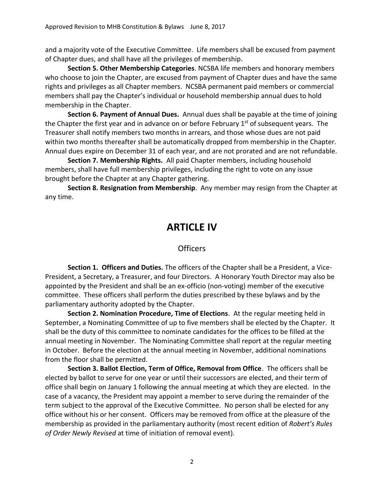and a majority vote of the Executive Committee. Life members shall be excused from payment of Chapter dues, and shall have all the privileges of membership.

**Section 5. Other Membership Categories**. NCSBA life members and honorary members who choose to join the Chapter, are excused from payment of Chapter dues and have the same rights and privileges as all Chapter members. NCSBA permanent paid members or commercial members shall pay the Chapter's individual or household membership annual dues to hold membership in the Chapter.

**Section 6. Payment of Annual Dues.** Annual dues shall be payable at the time of joining the Chapter the first year and in advance on or before February 1<sup>st</sup> of subsequent years. The Treasurer shall notify members two months in arrears, and those whose dues are not paid within two months thereafter shall be automatically dropped from membership in the Chapter. Annual dues expire on December 31 of each year, and are not prorated and are not refundable.

**Section 7. Membership Rights.** All paid Chapter members, including household members, shall have full membership privileges, including the right to vote on any issue brought before the Chapter at any Chapter gathering.

**Section 8. Resignation from Membership**. Any member may resign from the Chapter at any time.

### **ARTICLE IV**

#### **Officers**

 **Section 1. Officers and Duties.** The officers of the Chapter shall be a President, a Vice-President, a Secretary, a Treasurer, and four Directors. A Honorary Youth Director may also be appointed by the President and shall be an ex-officio (non-voting) member of the executive committee. These officers shall perform the duties prescribed by these bylaws and by the parliamentary authority adopted by the Chapter.

**Section 2. Nomination Procedure, Time of Elections**. At the regular meeting held in September, a Nominating Committee of up to five members shall be elected by the Chapter. It shall be the duty of this committee to nominate candidates for the offices to be filled at the annual meeting in November. The Nominating Committee shall report at the regular meeting in October. Before the election at the annual meeting in November, additional nominations from the floor shall be permitted.

**Section 3. Ballot Election, Term of Office, Removal from Office**. The officers shall be elected by ballot to serve for one year or until their successors are elected, and their term of office shall begin on January 1 following the annual meeting at which they are elected. In the case of a vacancy, the President may appoint a member to serve during the remainder of the term subject to the approval of the Executive Committee. No person shall be elected for any office without his or her consent. Officers may be removed from office at the pleasure of the membership as provided in the parliamentary authority (most recent edition of *Robert's Rules of Order Newly Revised* at time of initiation of removal event).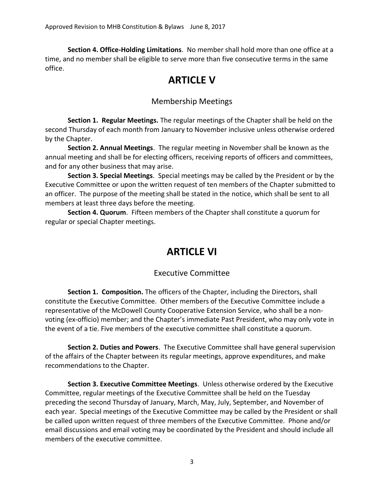**Section 4. Office-Holding Limitations**. No member shall hold more than one office at a time, and no member shall be eligible to serve more than five consecutive terms in the same office.

### **ARTICLE V**

### Membership Meetings

 **Section 1. Regular Meetings.** The regular meetings of the Chapter shall be held on the second Thursday of each month from January to November inclusive unless otherwise ordered by the Chapter.

**Section 2. Annual Meetings**. The regular meeting in November shall be known as the annual meeting and shall be for electing officers, receiving reports of officers and committees, and for any other business that may arise.

**Section 3. Special Meetings**. Special meetings may be called by the President or by the Executive Committee or upon the written request of ten members of the Chapter submitted to an officer. The purpose of the meeting shall be stated in the notice, which shall be sent to all members at least three days before the meeting.

**Section 4. Quorum**. Fifteen members of the Chapter shall constitute a quorum for regular or special Chapter meetings.

## **ARTICLE VI**

### Executive Committee

 **Section 1. Composition.** The officers of the Chapter, including the Directors, shall constitute the Executive Committee. Other members of the Executive Committee include a representative of the McDowell County Cooperative Extension Service, who shall be a nonvoting (ex-officio) member; and the Chapter's immediate Past President, who may only vote in the event of a tie. Five members of the executive committee shall constitute a quorum.

**Section 2. Duties and Powers**. The Executive Committee shall have general supervision of the affairs of the Chapter between its regular meetings, approve expenditures, and make recommendations to the Chapter.

**Section 3. Executive Committee Meetings**. Unless otherwise ordered by the Executive Committee, regular meetings of the Executive Committee shall be held on the Tuesday preceding the second Thursday of January, March, May, July, September, and November of each year. Special meetings of the Executive Committee may be called by the President or shall be called upon written request of three members of the Executive Committee. Phone and/or email discussions and email voting may be coordinated by the President and should include all members of the executive committee.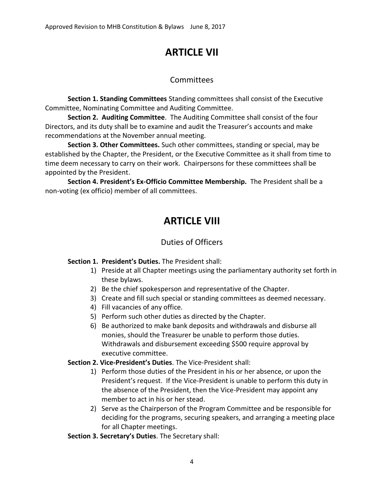## **ARTICLE VII**

### Committees

**Section 1. Standing Committees** Standing committees shall consist of the Executive Committee, Nominating Committee and Auditing Committee.

**Section 2. Auditing Committee**. The Auditing Committee shall consist of the four Directors, and its duty shall be to examine and audit the Treasurer's accounts and make recommendations at the November annual meeting.

**Section 3. Other Committees.** Such other committees, standing or special, may be established by the Chapter, the President, or the Executive Committee as it shall from time to time deem necessary to carry on their work. Chairpersons for these committees shall be appointed by the President.

**Section 4. President's Ex-Officio Committee Membership.** The President shall be a non-voting (ex officio) member of all committees.

## **ARTICLE VIII**

### Duties of Officers

#### **Section 1. President's Duties.** The President shall:

- 1) Preside at all Chapter meetings using the parliamentary authority set forth in these bylaws.
- 2) Be the chief spokesperson and representative of the Chapter.
- 3) Create and fill such special or standing committees as deemed necessary.
- 4) Fill vacancies of any office.
- 5) Perform such other duties as directed by the Chapter.
- 6) Be authorized to make bank deposits and withdrawals and disburse all monies, should the Treasurer be unable to perform those duties. Withdrawals and disbursement exceeding \$500 require approval by executive committee.

#### **Section 2. Vice-President's Duties**. The Vice-President shall:

- 1) Perform those duties of the President in his or her absence, or upon the President's request. If the Vice-President is unable to perform this duty in the absence of the President, then the Vice-President may appoint any member to act in his or her stead.
- 2) Serve as the Chairperson of the Program Committee and be responsible for deciding for the programs, securing speakers, and arranging a meeting place for all Chapter meetings.

**Section 3. Secretary's Duties**. The Secretary shall: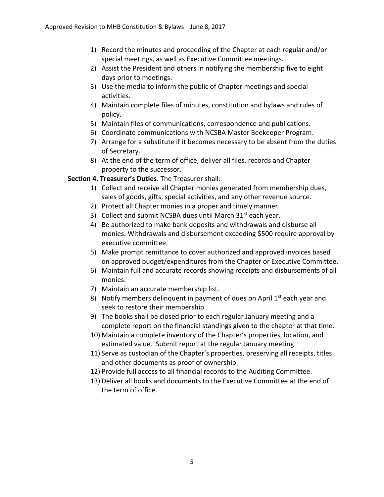- 1) Record the minutes and proceeding of the Chapter at each regular and/or special meetings, as well as Executive Committee meetings.
- 2) Assist the President and others in notifying the membership five to eight days prior to meetings.
- 3) Use the media to inform the public of Chapter meetings and special activities.
- 4) Maintain complete files of minutes, constitution and bylaws and rules of policy.
- 5) Maintain files of communications, correspondence and publications.
- 6) Coordinate communications with NCSBA Master Beekeeper Program.
- 7) Arrange for a substitute if it becomes necessary to be absent from the duties of Secretary.
- 8) At the end of the term of office, deliver all files, records and Chapter property to the successor.

#### **Section 4. Treasurer's Duties**. The Treasurer shall:

- 1) Collect and receive all Chapter monies generated from membership dues, sales of goods, gifts, special activities, and any other revenue source.
- 2) Protect all Chapter monies in a proper and timely manner.
- 3) Collect and submit NCSBA dues until March  $31<sup>st</sup>$  each year.
- 4) Be authorized to make bank deposits and withdrawals and disburse all monies. Withdrawals and disbursement exceeding \$500 require approval by executive committee.
- 5) Make prompt remittance to cover authorized and approved invoices based on approved budget/expenditures from the Chapter or Executive Committee.
- 6) Maintain full and accurate records showing receipts and disbursements of all monies.
- 7) Maintain an accurate membership list.
- 8) Notify members delinquent in payment of dues on April  $1<sup>st</sup>$  each year and seek to restore their membership.
- 9) The books shall be closed prior to each regular January meeting and a complete report on the financial standings given to the chapter at that time.
- 10) Maintain a complete inventory of the Chapter's properties, location, and estimated value. Submit report at the regular January meeting.
- 11) Serve as custodian of the Chapter's properties, preserving all receipts, titles and other documents as proof of ownership.
- 12) Provide full access to all financial records to the Auditing Committee.
- 13) Deliver all books and documents to the Executive Committee at the end of the term of office.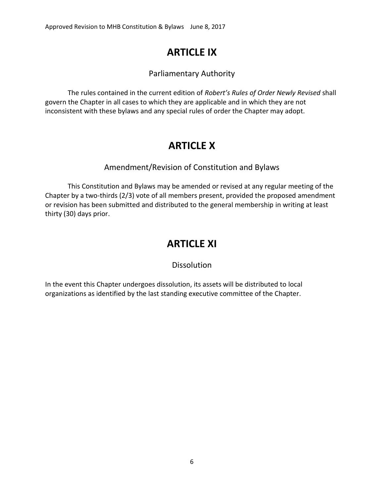## **ARTICLE IX**

### Parliamentary Authority

 The rules contained in the current edition of *Robert's Rules of Order Newly Revised* shall govern the Chapter in all cases to which they are applicable and in which they are not inconsistent with these bylaws and any special rules of order the Chapter may adopt.

## **ARTICLE X**

### Amendment/Revision of Constitution and Bylaws

 This Constitution and Bylaws may be amended or revised at any regular meeting of the Chapter by a two-thirds (2/3) vote of all members present, provided the proposed amendment or revision has been submitted and distributed to the general membership in writing at least thirty (30) days prior.

### **ARTICLE XI**

### **Dissolution**

In the event this Chapter undergoes dissolution, its assets will be distributed to local organizations as identified by the last standing executive committee of the Chapter.